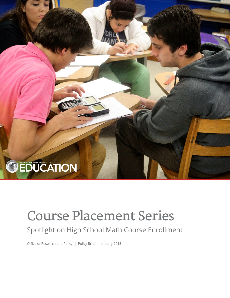

# Course Placement Series

### Spotlight on High School Math Course Enrollment

Office of Research and Policy | Policy Brief | January 2015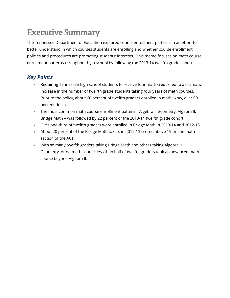## **Executive Summary**

The Tennessee Department of Education explored course enrollment patterns in an effort to better understand in which courses students are enrolling and whether course enrollment policies and procedures are promoting students' interests. This memo focuses on math course enrollment patterns throughout high school by following the 2013-14 twelfth grade cohort.

### *Key Points*

- Requiring Tennessee high school students to receive four math credits led to a dramatic increase in the number of twelfth grade students taking four years of math courses. Prior to the policy, about 60 percent of twelfth graders enrolled in math. Now, over 90 percent do so.
- The most common math course enrollment pattern Algebra I, Geometry, Algebra II, Bridge Math – was followed by 22 percent of the 2013-14 twelfth grade cohort.
- Over one-third of twelfth graders were enrolled in Bridge Math in 2013-14 and 2012-13.
- About 20 percent of the Bridge Math takers in 2012-13 scored above 19 on the math section of the ACT.
- With so many twelfth graders taking Bridge Math and others taking Algebra II, Geometry, or no math course, less than half of twelfth graders took an advanced math course beyond Algebra II.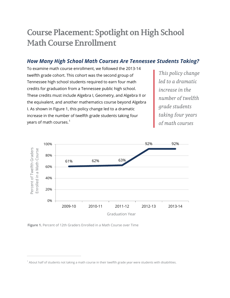### **Course Placement: Spotlight on High School Math Course Enrollment**

#### *How Many High School Math Courses Are Tennessee Students Taking?*

To examine math course enrollment, we followed the 2013-14 twelfth grade cohort. This cohort was the second group of Tennessee high school students required to earn four math credits for graduation from a Tennessee public high school. These credits must include Algebra I, Geometry, and Algebra II or the equivalent, and another mathematics course beyond Algebra I. As shown in Figure 1, this policy change led to a dramatic increase in the number of twelfth grade students taking four years of math courses. $<sup>1</sup>$  $<sup>1</sup>$  $<sup>1</sup>$ </sup>

*This policy change led to a dramatic increase in the number of twelfth grade students taking four years of math courses*



**Figure 1.** Percent of 12th Graders Enrolled in a Math Course over Time

 $\overline{a}$ 

<span id="page-2-0"></span><sup>&</sup>lt;sup>1</sup> About half of students not taking a math course in their twelfth grade year were students with disabilities.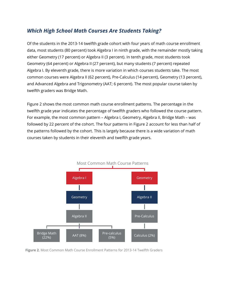#### *Which High School Math Courses Are Students Taking?*

Of the students in the 2013-14 twelfth grade cohort with four years of math course enrollment data, most students (80 percent) took Algebra I in ninth grade, with the remainder mostly taking either Geometry (17 percent) or Algebra II (3 percent). In tenth grade, most students took Geometry (64 percent) or Algebra II (27 percent), but many students (7 percent) repeated Algebra I. By eleventh grade, there is more variation in which courses students take. The most common courses were Algebra II (62 percent), Pre-Calculus (14 percent), Geometry (13 percent), and Advanced Algebra and Trigonometry (AAT; 6 percent). The most popular course taken by twelfth graders was Bridge Math.

Figure 2 shows the most common math course enrollment patterns. The percentage in the twelfth grade year indicates the percentage of twelfth graders who followed the course pattern. For example, the most common pattern – Algebra I, Geometry, Algebra II, Bridge Math – was followed by 22 percent of the cohort. The four patterns in Figure 2 account for less than half of the patterns followed by the cohort. This is largely because there is a wide variation of math courses taken by students in their eleventh and twelfth grade years.



**Figure 2.** Most Common Math Course Enrollment Patterns for 2013-14 Twelfth Graders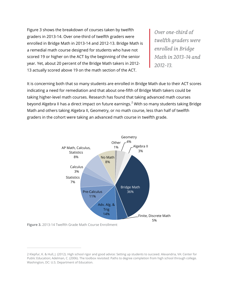Figure 3 shows the breakdown of courses taken by twelfth graders in 2013-14. Over one-third of twelfth graders were enrolled in Bridge Math in 2013-14 and 2012-13. Bridge Math is a remedial math course designed for students who have not scored 19 or higher on the ACT by the beginning of the senior year. Yet, about 20 percent of the Bridge Math takers in 2012- 13 actually scored above 19 on the math section of the ACT.

*Over one-third of twelfth graders were enrolled in Bridge Math in 2013-14 and 2012-13.*

It is concerning both that so many students are enrolled in Bridge Math due to their ACT scores indicating a need for remediation and that about one-fifth of Bridge Math takers could be taking higher-level math courses. Research has found that taking advanced math courses beyond Algebra II has a direct impact on future earnings. [2](#page-4-0) With so many students taking Bridge Math and others taking Algebra II, Geometry, or no math course, less than half of twelfth graders in the cohort were taking an advanced math course in twelfth grade.



**Figure 3.** 2013-14 Twelfth Grade Math Course Enrollment

 $\overline{a}$ 

<span id="page-4-0"></span><sup>2</sup> Klepfur, K. & Hull, J. (2012). High school rigor and good advice: Setting up students to succeed. Alexandria, VA: Center for Public Education; Adelman, C. (2006). The toolbox revisited: Paths to degree completion from high school through college. Washington, DC: U.S. Department of Education.